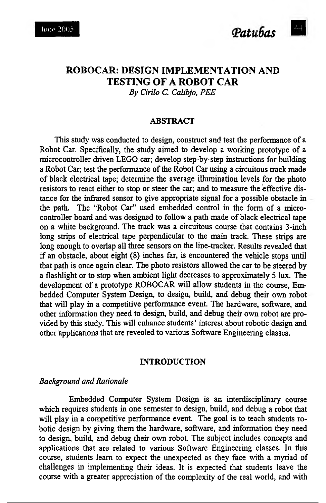# **ROBOCAR: DESIGN IMPLEMENTATION AND TESTING OF A ROBOT CAR** *By Cirilo C. Calibjo, PEE*

#### **ABSTRACT**

This study was conducted to design, construct and test the performance of a Robot Car. Specifically, the study aimed to develop a working prototype of a microcontroller driven LEGO car; develop step-by-step instructions for building a Robot Car; test the performance of the Robot Car using a circuitous track made of black electrical tape; determine the average illumination levels for the photo resistors to react either to stop or steer the car; and to measure the effective distance for the infrared sensor to give appropriate signal for a possible obstacle in the path. The "Robot Car" used embedded control in the form of a microcontroller board and was designed to follow a path made of black electrical tape on a white background. The track was a circuitous course that contains 3-inch long strips of electrical tape perpendicular to the main track. These strips are long enough to overlap all three sensors on the line-tracker. Results revealed that if an obstacle, about eight (8) inches far, is encountered the vehicle stops until that path is once again clear. The photo resistors allowed the car to be steered by a flashlight or to stop when ambient light decreases to approximately 5 lux. The development of a prototype ROBOCAR will allow students in the course, Embedded Computer System Design, to design, build, and debug their own robot that will play in a competitive performance event. The hardware, software, and other information they need to design, build, and debug their own robot are provided by this study. This will enhance students' interest about robotic design and other applications that are revealed to various Software Engineering classes.

#### **INTRODUCTION**

# *Background and Rationale*

Embedded Computer System Design is an interdisciplinary course which requires students in one semester to design, build, and debug a robot that will play in a competitive performance event. The goal is to teach students robotic design by giving them the hardware, software, and information they need to design, build, and debug their own robot. The subject includes concepts and applications that are related to various Software Engineering classes. In this course, students learn to expect the unexpected as they face with a myriad of challenges in implementing their ideas. It is expected that students leave the course with a greater appreciation of the complexity of the real world, and with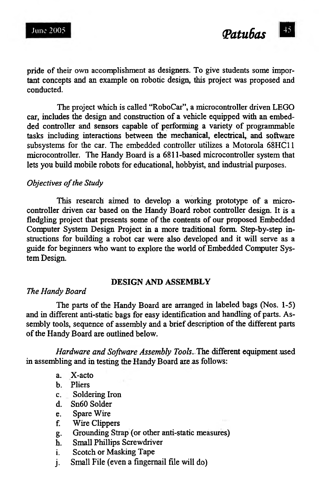pride of their own accomplishment as designers. To give students some important concepts and an example on robotic design, this project was proposed and conducted.

The project which is called "RoboCar", a microcontroller driven LEGO car, includes the design and construction of a vehicle equipped with an embedded controller and sensors capable of performing a variety of programmable tasks including interactions between the mechanical, electrical, and software subsystems for the car. The embedded controller utilizes a Motorola 68HC11 microcontroller. The Handy Board is a 6811-based microcontroller system that lets you build mobile robots for educational, hobbyist, and industrial purposes.

#### *Objectives of the Study*

This research aimed to develop a working prototype of a microcontroller driven car based on the Handy Board robot controller design. It is a fledgling project that presents some of the contents of our proposed Embedded Computer System Design Project in a more traditional form Step-by-step instructions for building a robot car were also developed and it will serve as a guide for beginners who want to explore the world of Embedded Computer System Design.

#### **DESIGN AND ASSEMBLY**

#### *The Handy Board*

The parts of the Handy Board are arranged in labeled bags (Nos. 1-5) and in different anti-static bags for easy identification and handling of parts. Assembly tools, sequence of assembly and a brief description of the different parts of the Handy Board are outlined below.

*Hardware and Software Assembly Tools.* The different equipment used in assembling and in testing the Handy Board are as follows:

- a. X-acto
- b. Pliers
- c. Soldering Iron
- d. Sn60 Solder
- e. Spare Wire
- f. Wire Clippers
- g. Grounding Strap (or other anti-static measures)
- Small Phillips Screwdriver
- i. Scotch or Masking Tape
- j. Small File (even a fingernail file will do)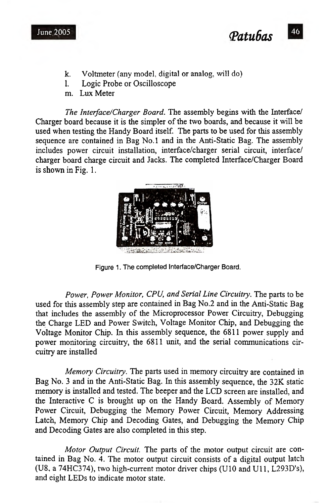

- k. Voltmeter (any model, digital or analog, will do)
- l. Logic Probe or Oscilloscope
- m. Lux Meter

*The Interface/Charger Board.* The assembly begins with the Interface/ Charger board because it is the simpler of the two boards, and because it will be used when testing the Handy Board itself. The parts to be used for this assembly sequence are contained in Bag No.l and in the Anti-Static Bag. The assembly includes power circuit installation, interface/charger serial circuit, interface/ charger board charge circuit and Jacks. The completed Interface/Charger Board is shown in Fig. 1.



Figure 1. The completed Interface/Charger Board.

*Power, Power Monitor, CPU, and Serial Line Circuitry.* The parts to be used for this assembly step are contained in Bag No.2 and in the Anti-Static Bag that includes the assembly of the Microprocessor Power Circuitry, Debugging the Charge LED and Power Switch, Voltage Monitor Chip, and Debugging the Voltage Monitor Chip. In this assembly sequence, the 6811 power supply and power monitoring circuitry, the 6811 unit, and the serial communications circuitry are installed

*Memory Circuitry.* The parts used in memory circuitry are contained in Bag No. 3 and in the Anti-Static Bag. In this assembly sequence, the 32K static memory is installed and tested. The beeper and the LCD screen are installed, and the Interactive C is brought up on the Handy Board. Assembly of Memory Power Circuit, Debugging the Memory Power Circuit, Memory Addressing Latch, Memory Chip and Decoding Gates, and Debugging the Memory Chip and Decoding Gates are also completed in this step.

*Motor Output Circuit.* The parts of the motor output circuit are contained in Bag No. 4. The motor output circuit consists of a digital output latch (U8, a 74HC374), two high-current motor driver chips (U10 and Ull, L293D's), and eight LEDs to indicate motor state.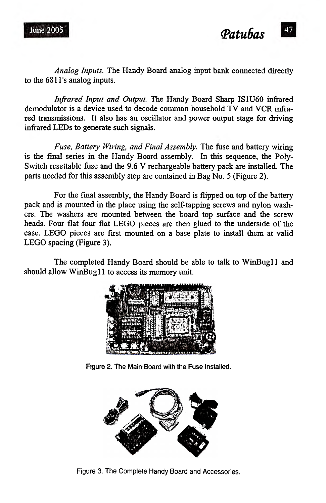*Analog Inputs.* The Handy Board analog input bank connected directly to the 681l's analog inputs.

*Infrared Input and Output.* The Handy Board Sharp IS1U60 infrared demodulator is a device used to decode common household TV and VCR infrared transmissions. It also has an oscillator and power output stage for driving infrared LEDs to generate such signals.

*Fuse, Battery Wiring, and Final Assembly.* The fuse and battery wiring is the final series in the Handy Board assembly. In this sequence, the Poly-Switch resettable fuse and the 9.6 V rechargeable battery pack are installed. The parts needed for this assembly step are contained in Bag No. 5 (Figure 2).

For the final assembly, the Handy Board is flipped on top of the battery pack and is mounted in the place using the self-tapping screws and nylon washers. The washers are mounted between the board top surface and the screw heads. Four flat four flat LEGO pieces are then glued to the underside of the case. LEGO pieces are first mounted on a base plate to install them at valid LEGO spacing (Figure 3).

The completed Handy Board should be able to talk to WinBugl1 and should allow WinBugl1 to access its memory unit.



Figure 2. The Main Board with the Fuse Installed.



Figure 3. The Complete Handy Board and Accessories.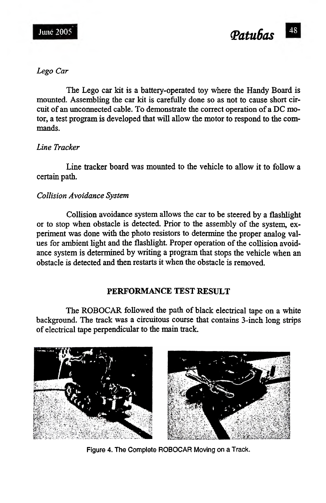



### *Lego Car*

The Lego car kit is a battery-operated toy where the Handy Board is mounted. Assembling the car kit is carefully done so as not to cause short circuit of an unconnected cable. To demonstrate the correct operation of a DC motor, a test program is developed that will allow the motor to respond to the commands.

# *Line Tracker*

Line tracker board was mounted to the vehicle to allow it to follow a certain path.

# *Collision Avoidance System*

Collision avoidance system allows the car to be steered by a flashlight or to stop when obstacle is detected. Prior to the assembly of the system, experiment was done with the photo resistors to determine the proper analog values for ambient light and the flashlight. Proper operation of the collision avoidance system is determined by writing a program that stops the vehicle when an obstacle is detected and then restarts it when the obstacle is removed.

### **PERFORMANCE TEST RESULT**

The ROBOCAR followed the path of black electrical tape on a white background. The track was a circuitous course that contains 3-inch long strips of electrical tape perpendicular to the main track.



Figure 4. The Complete ROBOCAR Moving on a Track.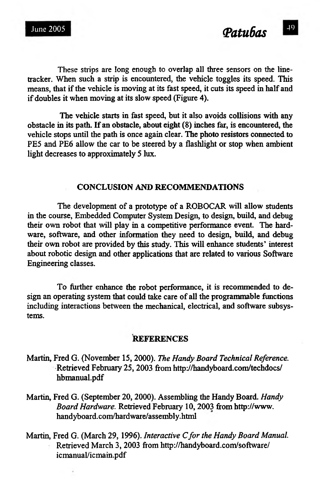These strips are long enough to overlap all three sensors on the linetracker. When such a strip is encountered, the vehicle toggles its speed. This means, that if the vehicle is moving at its fast speed, it cuts its speed in half and if doubles it when moving at its slow speed (Figure 4).

The vehicle starts in fast speed, but it also avoids collisions with any obstacle in its path. If an obstacle, about eight (8) inches far, is encountered, the vehicle stops until the path is once again clear. The photo resistors connected to PE5 and PE6 allow the car to be steered by a flashlight or stop when ambient light decreases to approximately 5 lux.

# **CONCLUSION AND RECOMMENDATIONS**

The development of a prototype of a ROBOCAR will allow students in the course, Embedded Computer System Design, to design, build, and debug their own robot that will play in a competitive performance event. The hardware, software, and other information they need to design, build, and debug their own robot are provided by this study. This will enhance students' interest about robotic design and other applications that are related to various Software Engineering classes.

To further enhance the robot performance, it is recommended to design an operating system that could take care of all the programmable functions including interactions between the mechanical, electrical, and software subsystems.

#### **REFERENCES**

- Martin, Fred G. (November 15, 2000). *The Handy Board Technical Reference.* Retrieved February 25, 2003 from<http://handyboard.com/techdocs/> hbmanual.pdf
- Martin, Fred G. (September 20, 2000). Assembling the Handy Board. *Handy Board Hardware.* Retrieved February 10, 2003 from [http://www.](http://www) handyboard.com/hardware/assembly.html
- Martin, Fred G. (March 29, 1996). *Interactive C for the Handy Board Manual.* Retrieved March 3, 2003 from<http://handyboard.com/software/> icmanual/icmain.pdf